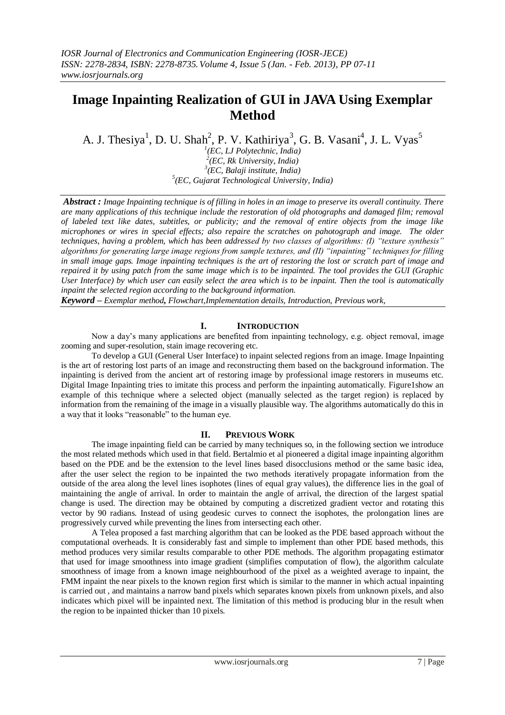# **Image Inpainting Realization of GUI in JAVA Using Exemplar Method**

A. J. Thesiya<sup>1</sup>, D. U. Shah<sup>2</sup>, P. V. Kathiriya<sup>3</sup>, G. B. Vasani<sup>4</sup>, J. L. Vyas<sup>5</sup>

 *(EC, LJ Polytechnic, India) (EC, Rk University, India) (EC, Balaji institute, India) (EC, Gujarat Technological University, India)*

*Abstract : Image Inpainting technique is of filling in holes in an image to preserve its overall continuity. There are many applications of this technique include the restoration of old photographs and damaged film; removal of labeled text like dates, subtitles, or publicity; and the removal of entire objects from the image like microphones or wires in special effects; also repaire the scratches on pahotograph and image. The older techniques, having a problem, which has been addressed by two classes of algorithms: (I) "texture synthesis" algorithms for generating large image regions from sample textures, and (II) "inpainting" techniques for filling in small image gaps. Image inpainting techniques is the art of restoring the lost or scratch part of image and repaired it by using patch from the same image which is to be inpainted. The tool provides the GUI (Graphic User Interface) by which user can easily select the area which is to be inpaint. Then the tool is automatically inpaint the selected region according to the background information.*

*Keyword – Exemplar method, Flowchart,Implementation details, Introduction, Previous work,*

## **I. INTRODUCTION**

Now a day's many applications are benefited from inpainting technology, e.g. object removal, image zooming and super-resolution, stain image recovering etc.

To develop a GUI (General User Interface) to inpaint selected regions from an image. Image Inpainting is the art of restoring lost parts of an image and reconstructing them based on the background information. The inpainting is derived from the ancient art of restoring image by professional image restorers in museums etc. Digital Image Inpainting tries to imitate this process and perform the inpainting automatically. Figure1show an example of this technique where a selected object (manually selected as the target region) is replaced by information from the remaining of the image in a visually plausible way. The algorithms automatically do this in a way that it looks "reasonable" to the human eye.

## **II. PREVIOUS WORK**

The image inpainting field can be carried by many techniques so, in the following section we introduce the most related methods which used in that field. Bertalmio et al pioneered a digital image inpainting algorithm based on the PDE and be the extension to the level lines based disocclusions method or the same basic idea, after the user select the region to be inpainted the two methods iteratively propagate information from the outside of the area along the level lines isophotes (lines of equal gray values), the difference lies in the goal of maintaining the angle of arrival. In order to maintain the angle of arrival, the direction of the largest spatial change is used. The direction may be obtained by computing a discretized gradient vector and rotating this vector by 90 radians. Instead of using geodesic curves to connect the isophotes, the prolongation lines are progressively curved while preventing the lines from intersecting each other.

A Telea proposed a fast marching algorithm that can be looked as the PDE based approach without the computational overheads. It is considerably fast and simple to implement than other PDE based methods, this method produces very similar results comparable to other PDE methods. The algorithm propagating estimator that used for image smoothness into image gradient (simplifies computation of flow), the algorithm calculate smoothness of image from a known image neighbourhood of the pixel as a weighted average to inpaint, the FMM inpaint the near pixels to the known region first which is similar to the manner in which actual inpainting is carried out , and maintains a narrow band pixels which separates known pixels from unknown pixels, and also indicates which pixel will be inpainted next. The limitation of this method is producing blur in the result when the region to be inpainted thicker than 10 pixels.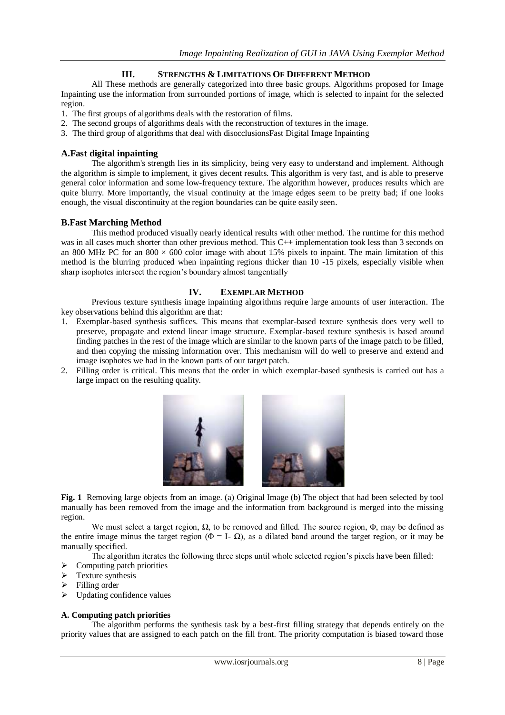## **III. STRENGTHS & LIMITATIONS OF DIFFERENT METHOD**

All These methods are generally categorized into three basic groups. Algorithms proposed for Image Inpainting use the information from surrounded portions of image, which is selected to inpaint for the selected region.

- 1. The first groups of algorithms deals with the restoration of films.
- 2. The second groups of algorithms deals with the reconstruction of textures in the image.
- 3. The third group of algorithms that deal with disocclusionsFast Digital Image Inpainting

### **A.Fast digital inpainting**

The algorithm's strength lies in its simplicity, being very easy to understand and implement. Although the algorithm is simple to implement, it gives decent results. This algorithm is very fast, and is able to preserve general color information and some low-frequency texture. The algorithm however, produces results which are quite blurry. More importantly, the visual continuity at the image edges seem to be pretty bad; if one looks enough, the visual discontinuity at the region boundaries can be quite easily seen.

#### **B.Fast Marching Method**

This method produced visually nearly identical results with other method. The runtime for this method was in all cases much shorter than other previous method. This C++ implementation took less than 3 seconds on an 800 MHz PC for an 800  $\times$  600 color image with about 15% pixels to inpaint. The main limitation of this method is the blurring produced when inpainting regions thicker than 10 -15 pixels, especially visible when sharp isophotes intersect the region's boundary almost tangentially

#### **IV. EXEMPLAR METHOD**

Previous texture synthesis image inpainting algorithms require large amounts of user interaction. The key observations behind this algorithm are that:

- 1. Exemplar-based synthesis suffices. This means that exemplar-based texture synthesis does very well to preserve, propagate and extend linear image structure. Exemplar-based texture synthesis is based around finding patches in the rest of the image which are similar to the known parts of the image patch to be filled, and then copying the missing information over. This mechanism will do well to preserve and extend and image isophotes we had in the known parts of our target patch.
- 2. Filling order is critical. This means that the order in which exemplar-based synthesis is carried out has a large impact on the resulting quality.



**Fig. 1** Removing large objects from an image. (a) Original Image (b) The object that had been selected by tool manually has been removed from the image and the information from background is merged into the missing region.

We must select a target region, Ω, to be removed and filled. The source region, Φ, may be defined as the entire image minus the target region ( $\Phi = I - \Omega$ ), as a dilated band around the target region, or it may be manually specified.

The algorithm iterates the following three steps until whole selected region's pixels have been filled:

- $\triangleright$  Computing patch priorities
- $\triangleright$  Texture synthesis
- Filling order
- $\triangleright$  Updating confidence values

#### **A. Computing patch priorities**

The algorithm performs the synthesis task by a best-first filling strategy that depends entirely on the priority values that are assigned to each patch on the fill front. The priority computation is biased toward those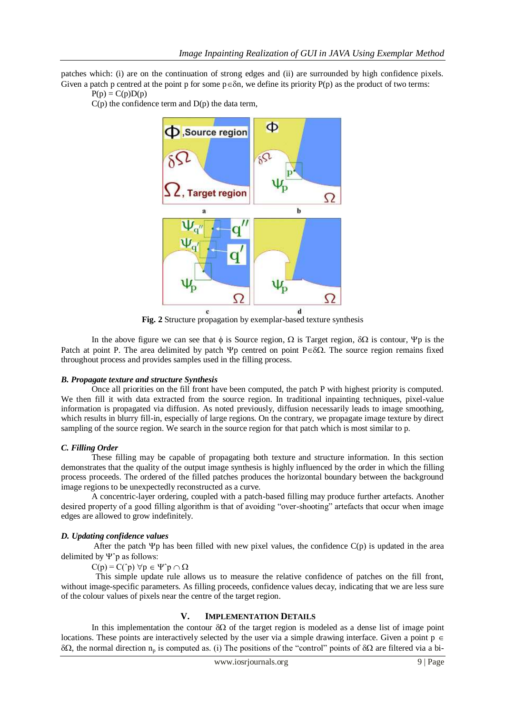patches which: (i) are on the continuation of strong edges and (ii) are surrounded by high confidence pixels. Given a patch p centred at the point p for some  $p \in \delta n$ , we define its priority P(p) as the product of two terms:

 $P(p) = C(p)D(p)$ 





**Fig. 2** Structure propagation by exemplar-based texture synthesis

In the above figure we can see that  $\phi$  is Source region,  $\Omega$  is Target region,  $\delta\Omega$  is contour,  $\Psi$  p is the Patch at point P. The area delimited by patch  $\Psi p$  centred on point P $\epsilon \delta \Omega$ . The source region remains fixed throughout process and provides samples used in the filling process.

#### *B. Propagate texture and structure Synthesis*

Once all priorities on the fill front have been computed, the patch P with highest priority is computed. We then fill it with data extracted from the source region. In traditional inpainting techniques, pixel-value information is propagated via diffusion. As noted previously, diffusion necessarily leads to image smoothing, which results in blurry fill-in, especially of large regions. On the contrary, we propagate image texture by direct sampling of the source region. We search in the source region for that patch which is most similar to p.

#### *C. Filling Order*

These filling may be capable of propagating both texture and structure information. In this section demonstrates that the quality of the output image synthesis is highly influenced by the order in which the filling process proceeds. The ordered of the filled patches produces the horizontal boundary between the background image regions to be unexpectedly reconstructed as a curve.

A concentric-layer ordering, coupled with a patch-based filling may produce further artefacts. Another desired property of a good filling algorithm is that of avoiding "over-shooting" artefacts that occur when image edges are allowed to grow indefinitely.

#### *D. Updating confidence values*

After the patch  $\Psi$ p has been filled with new pixel values, the confidence  $C(p)$  is updated in the area delimited by  $\Psi$ <sup> $\circ$ </sup> p as follows:

 $C(p) = C(\hat{p}) \,\forall p \in \Psi \hat{p} \cap \Omega$ 

 This simple update rule allows us to measure the relative confidence of patches on the fill front, without image-specific parameters. As filling proceeds, confidence values decay, indicating that we are less sure of the colour values of pixels near the centre of the target region.

#### **V. IMPLEMENTATION DETAILS**

In this implementation the contour  $\delta\Omega$  of the target region is modeled as a dense list of image point locations. These points are interactively selected by the user via a simple drawing interface. Given a point  $p \in$  $\delta\Omega$ , the normal direction n<sub>p</sub> is computed as. (i) The positions of the "control" points of  $\delta\Omega$  are filtered via a bi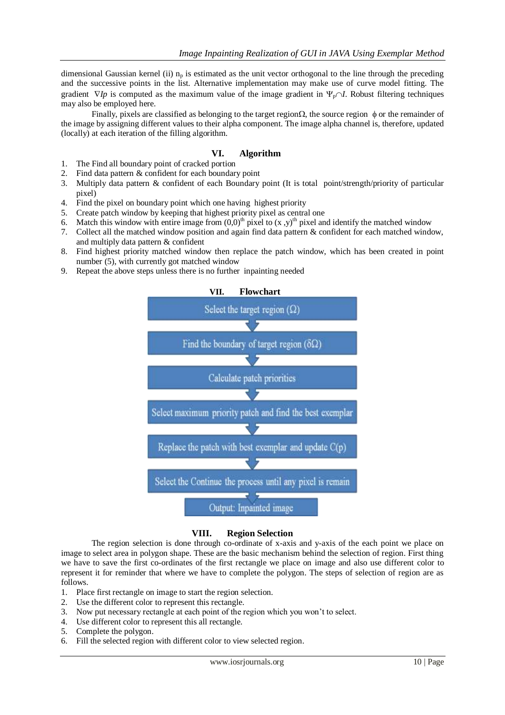dimensional Gaussian kernel (ii)  $n_p$  is estimated as the unit vector orthogonal to the line through the preceding and the successive points in the list. Alternative implementation may make use of curve model fitting. The gradient  $\nabla I_p$  is computed as the maximum value of the image gradient in  $\Psi_p \cap I$ . Robust filtering techniques may also be employed here.

Finally, pixels are classified as belonging to the target region  $\Omega$ , the source region  $\phi$  or the remainder of the image by assigning different values to their alpha component. The image alpha channel is, therefore, updated (locally) at each iteration of the filling algorithm.

### **VI. Algorithm**

- 1. The Find all boundary point of cracked portion
- 2. Find data pattern & confident for each boundary point
- 3. Multiply data pattern & confident of each Boundary point (It is total point/strength/priority of particular pixel)
- 4. Find the pixel on boundary point which one having highest priority
- 5. Create patch window by keeping that highest priority pixel as central one
- 6. Match this window with entire image from  $(0,0)^{th}$  pixel to  $(x, y)^{th}$  pixel and identify the matched window
- 7. Collect all the matched window position and again find data pattern & confident for each matched window, and multiply data pattern & confident
- 8. Find highest priority matched window then replace the patch window, which has been created in point number (5), with currently got matched window
- 9. Repeat the above steps unless there is no further inpainting needed



#### **VIII. Region Selection**

The region selection is done through co-ordinate of x-axis and y-axis of the each point we place on image to select area in polygon shape. These are the basic mechanism behind the selection of region. First thing we have to save the first co-ordinates of the first rectangle we place on image and also use different color to represent it for reminder that where we have to complete the polygon. The steps of selection of region are as follows.

- 1. Place first rectangle on image to start the region selection.
- 2. Use the different color to represent this rectangle.
- 3. Now put necessary rectangle at each point of the region which you won't to select.
- 4. Use different color to represent this all rectangle.
- 5. Complete the polygon.
- 6. Fill the selected region with different color to view selected region.